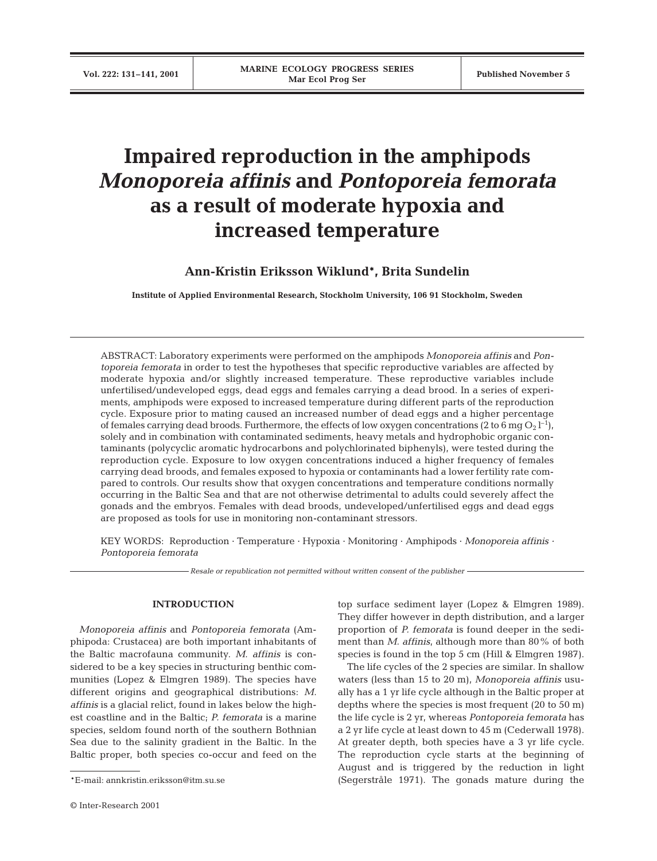# **Impaired reproduction in the amphipods** *Monoporeia affinis* **and** *Pontoporeia femorata*  **as a result of moderate hypoxia and increased temperature**

## **Ann-Kristin Eriksson Wiklund\*, Brita Sundelin**

**Institute of Applied Environmental Research, Stockholm University, 106 91 Stockholm, Sweden**

ABSTRACT: Laboratory experiments were performed on the amphipods *Monoporeia affinis* and *Pontoporeia femorata* in order to test the hypotheses that specific reproductive variables are affected by moderate hypoxia and/or slightly increased temperature. These reproductive variables include unfertilised/undeveloped eggs, dead eggs and females carrying a dead brood. In a series of experiments, amphipods were exposed to increased temperature during different parts of the reproduction cycle. Exposure prior to mating caused an increased number of dead eggs and a higher percentage of females carrying dead broods. Furthermore, the effects of low oxygen concentrations (2 to 6 mg  $\mathrm{O_2}\,\mathrm{l}^{-1}$ ), solely and in combination with contaminated sediments, heavy metals and hydrophobic organic contaminants (polycyclic aromatic hydrocarbons and polychlorinated biphenyls), were tested during the reproduction cycle. Exposure to low oxygen concentrations induced a higher frequency of females carrying dead broods, and females exposed to hypoxia or contaminants had a lower fertility rate compared to controls. Our results show that oxygen concentrations and temperature conditions normally occurring in the Baltic Sea and that are not otherwise detrimental to adults could severely affect the gonads and the embryos. Females with dead broods, undeveloped/unfertilised eggs and dead eggs are proposed as tools for use in monitoring non-contaminant stressors.

KEY WORDS: Reproduction · Temperature · Hypoxia · Monitoring · Amphipods · *Monoporeia affinis · Pontoporeia femorata*

*Resale or republication not permitted without written consent of the publisher*

## **INTRODUCTION**

*Monoporeia affinis* and *Pontoporeia femorata* (Amphipoda: Crustacea) are both important inhabitants of the Baltic macrofauna community. *M. affinis* is considered to be a key species in structuring benthic communities (Lopez & Elmgren 1989). The species have different origins and geographical distributions: *M. affinis* is a glacial relict, found in lakes below the highest coastline and in the Baltic; *P. femorata* is a marine species, seldom found north of the southern Bothnian Sea due to the salinity gradient in the Baltic. In the Baltic proper, both species co-occur and feed on the

top surface sediment layer (Lopez & Elmgren 1989). They differ however in depth distribution, and a larger proportion of *P. femorata* is found deeper in the sediment than *M. affinis,* although more than 80% of both species is found in the top 5 cm (Hill & Elmgren 1987).

The life cycles of the 2 species are similar. In shallow waters (less than 15 to 20 m), *Monoporeia affinis* usually has a 1 yr life cycle although in the Baltic proper at depths where the species is most frequent (20 to 50 m) the life cycle is 2 yr, whereas *Pontoporeia femorata* has a 2 yr life cycle at least down to 45 m (Cederwall 1978). At greater depth, both species have a 3 yr life cycle. The reproduction cycle starts at the beginning of August and is triggered by the reduction in light \*E-mail: annkristin.eriksson@itm.su.se (Segerstråle 1971). The gonads mature during the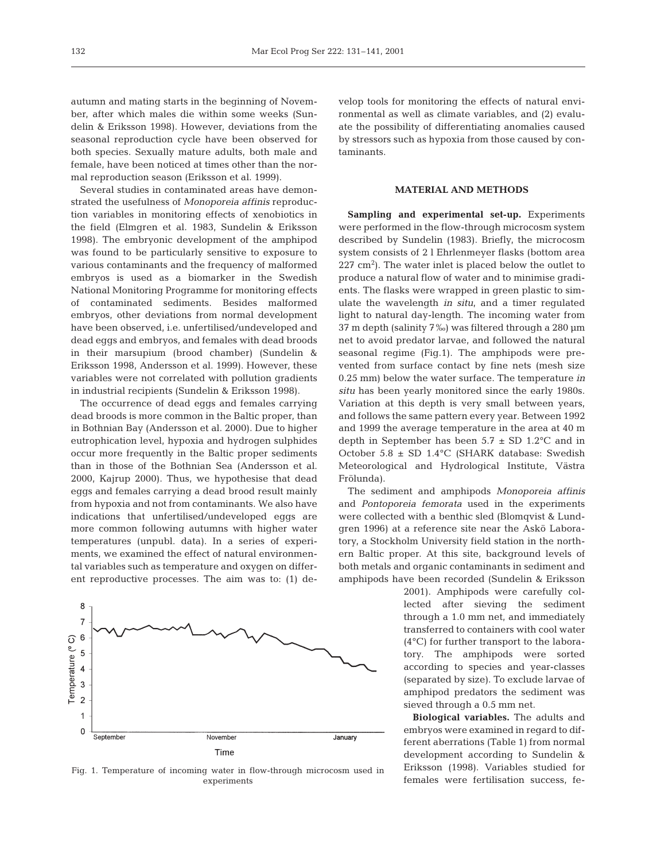autumn and mating starts in the beginning of November, after which males die within some weeks (Sundelin & Eriksson 1998). However, deviations from the seasonal reproduction cycle have been observed for both species. Sexually mature adults, both male and female, have been noticed at times other than the normal reproduction season (Eriksson et al. 1999).

Several studies in contaminated areas have demonstrated the usefulness of *Monoporeia affinis* reproduction variables in monitoring effects of xenobiotics in the field (Elmgren et al. 1983, Sundelin & Eriksson 1998). The embryonic development of the amphipod was found to be particularly sensitive to exposure to various contaminants and the frequency of malformed embryos is used as a biomarker in the Swedish National Monitoring Programme for monitoring effects of contaminated sediments. Besides malformed embryos, other deviations from normal development have been observed, i.e. unfertilised/undeveloped and dead eggs and embryos, and females with dead broods in their marsupium (brood chamber) (Sundelin & Eriksson 1998, Andersson et al. 1999). However, these variables were not correlated with pollution gradients in industrial recipients (Sundelin & Eriksson 1998).

The occurrence of dead eggs and females carrying dead broods is more common in the Baltic proper, than in Bothnian Bay (Andersson et al. 2000). Due to higher eutrophication level, hypoxia and hydrogen sulphides occur more frequently in the Baltic proper sediments than in those of the Bothnian Sea (Andersson et al. 2000, Kajrup 2000). Thus, we hypothesise that dead eggs and females carrying a dead brood result mainly from hypoxia and not from contaminants. We also have indications that unfertilised/undeveloped eggs are more common following autumns with higher water temperatures (unpubl. data). In a series of experiments, we examined the effect of natural environmental variables such as temperature and oxygen on different reproductive processes. The aim was to: (1) de-



Fig. 1. Temperature of incoming water in flow-through microcosm used in experiments

velop tools for monitoring the effects of natural environmental as well as climate variables, and (2) evaluate the possibility of differentiating anomalies caused by stressors such as hypoxia from those caused by contaminants.

## **MATERIAL AND METHODS**

**Sampling and experimental set-up.** Experiments were performed in the flow-through microcosm system described by Sundelin (1983). Briefly, the microcosm system consists of 2 l Ehrlenmeyer flasks (bottom area  $227 \text{ cm}^2$ ). The water inlet is placed below the outlet to produce a natural flow of water and to minimise gradients. The flasks were wrapped in green plastic to simulate the wavelength *in situ*, and a timer regulated light to natural day-length. The incoming water from 37 m depth (salinity 7‰) was filtered through a 280 µm net to avoid predator larvae, and followed the natural seasonal regime (Fig.1). The amphipods were prevented from surface contact by fine nets (mesh size 0.25 mm) below the water surface. The temperature *in situ* has been yearly monitored since the early 1980s. Variation at this depth is very small between years, and follows the same pattern every year. Between 1992 and 1999 the average temperature in the area at 40 m depth in September has been  $5.7 \pm SD$  1.2°C and in October 5.8 ± SD 1.4°C (SHARK database: Swedish Meteorological and Hydrological Institute, Västra Frölunda).

The sediment and amphipods *Monoporeia affinis* and *Pontoporeia femorata* used in the experiments were collected with a benthic sled (Blomqvist & Lundgren 1996) at a reference site near the Askö Laboratory, a Stockholm University field station in the northern Baltic proper. At this site, background levels of both metals and organic contaminants in sediment and amphipods have been recorded (Sundelin & Eriksson

> 2001). Amphipods were carefully collected after sieving the sediment through a 1.0 mm net, and immediately transferred to containers with cool water (4°C) for further transport to the laboratory. The amphipods were sorted according to species and year-classes (separated by size). To exclude larvae of amphipod predators the sediment was sieved through a 0.5 mm net.

> **Biological variables.** The adults and embryos were examined in regard to different aberrations (Table 1) from normal development according to Sundelin & Eriksson (1998). Variables studied for females were fertilisation success, fe-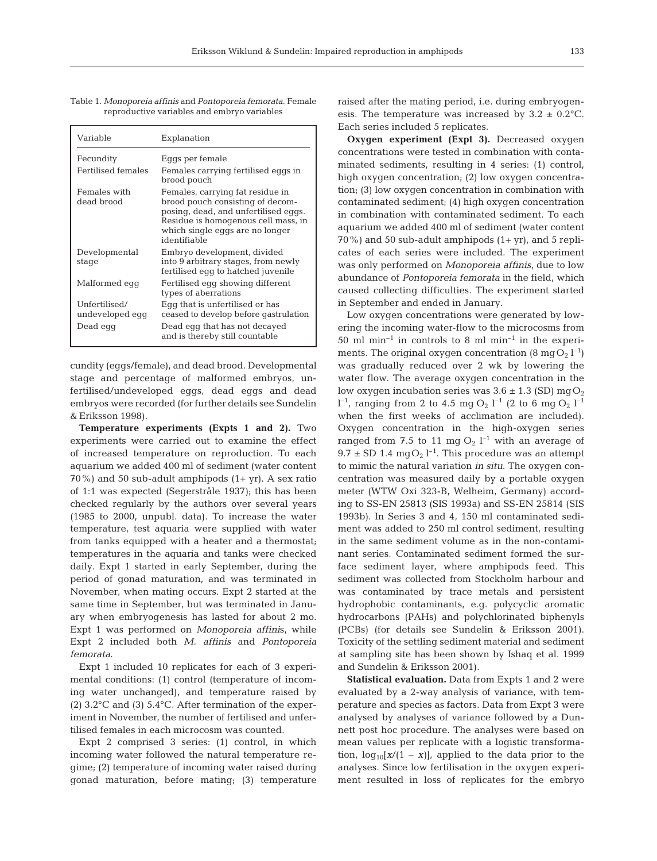| I<br>$\sim$ |  |
|-------------|--|
|             |  |

| Variable                                     | Explanation                                                                                                                                                                                            |
|----------------------------------------------|--------------------------------------------------------------------------------------------------------------------------------------------------------------------------------------------------------|
| Fecundity                                    | Eggs per female                                                                                                                                                                                        |
| Fertilised females                           | Females carrying fertilised eggs in<br>brood pouch                                                                                                                                                     |
| Females with<br>dead brood                   | Females, carrying fat residue in<br>brood pouch consisting of decom-<br>posing, dead, and unfertilised eggs.<br>Residue is homogenous cell mass, in<br>which single eggs are no longer<br>identifiable |
| Developmental<br>stage                       | Embryo development, divided<br>into 9 arbitrary stages, from newly<br>fertilised egg to hatched juvenile                                                                                               |
| Malformed egg                                | Fertilised egg showing different<br>types of aberrations                                                                                                                                               |
| Unfertilised/<br>undeveloped egg<br>Dead egg | Eqq that is unfertilised or has<br>ceased to develop before gastrulation<br>Dead egg that has not decayed<br>and is thereby still countable                                                            |

Table 1. *Monoporeia affinis* and *Pontoporeia femorata*. Female reproductive variables and embryo variables

cundity (eggs/female), and dead brood. Developmental stage and percentage of malformed embryos, unfertilised/undeveloped eggs, dead eggs and dead embryos were recorded (for further details see Sundelin & Eriksson 1998).

**Temperature experiments (Expts 1 and 2).** Two experiments were carried out to examine the effect of increased temperature on reproduction. To each aquarium we added 400 ml of sediment (water content 70%) and 50 sub-adult amphipods  $(1+ yr)$ . A sex ratio of 1:1 was expected (Segerstråle 1937); this has been checked regularly by the authors over several years (1985 to 2000, unpubl. data). To increase the water temperature, test aquaria were supplied with water from tanks equipped with a heater and a thermostat; temperatures in the aquaria and tanks were checked daily. Expt 1 started in early September, during the period of gonad maturation, and was terminated in November, when mating occurs. Expt 2 started at the same time in September, but was terminated in January when embryogenesis has lasted for about 2 mo. Expt 1 was performed on *Monoporeia affini*s, while Expt 2 included both *M. affinis* and *Pontoporeia femorata*.

Expt 1 included 10 replicates for each of 3 experimental conditions: (1) control (temperature of incoming water unchanged), and temperature raised by (2) 3.2°C and (3) 5.4°C. After termination of the experiment in November, the number of fertilised and unfertilised females in each microcosm was counted.

Expt 2 comprised 3 series: (1) control, in which incoming water followed the natural temperature regime; (2) temperature of incoming water raised during gonad maturation, before mating; (3) temperature raised after the mating period, i.e. during embryogenesis. The temperature was increased by  $3.2 \pm 0.2$ °C. Each series included 5 replicates.

**Oxygen experiment (Expt 3).** Decreased oxygen concentrations were tested in combination with contaminated sediments, resulting in 4 series: (1) control, high oxygen concentration; (2) low oxygen concentration; (3) low oxygen concentration in combination with contaminated sediment; (4) high oxygen concentration in combination with contaminated sediment. To each aquarium we added 400 ml of sediment (water content  $70\%$ ) and 50 sub-adult amphipods  $(1+yr)$ , and 5 replicates of each series were included. The experiment was only performed on *Monoporeia affinis*, due to low abundance of *Pontoporeia femorata* in the field, which caused collecting difficulties. The experiment started in September and ended in January.

Low oxygen concentrations were generated by lowering the incoming water-flow to the microcosms from 50 ml min<sup>-1</sup> in controls to 8 ml min<sup>-1</sup> in the experiments. The original oxygen concentration  $(8 \text{ mgO}_2 \text{ l}^{-1})$ was gradually reduced over 2 wk by lowering the water flow. The average oxygen concentration in the low oxygen incubation series was  $3.6 \pm 1.3$  (SD) mgO<sub>2</sub>  $l^{-1}$ , ranging from 2 to 4.5 mg O<sub>2</sub>  $l^{-1}$  (2 to 6 mg O<sub>2</sub>  $l^{-1}$ when the first weeks of acclimation are included). Oxygen concentration in the high-oxygen series ranged from 7.5 to 11 mg  $O_2$   $l^{-1}$  with an average of  $9.7 \pm SD$  1.4 mg $O_2$  l<sup>-1</sup>. This procedure was an attempt to mimic the natural variation *in situ*. The oxygen concentration was measured daily by a portable oxygen meter (WTW Oxi 323-B, Welheim, Germany) according to SS-EN 25813 (SIS 1993a) and SS-EN 25814 (SIS 1993b). In Series 3 and 4, 150 ml contaminated sediment was added to 250 ml control sediment, resulting in the same sediment volume as in the non-contaminant series. Contaminated sediment formed the surface sediment layer, where amphipods feed. This sediment was collected from Stockholm harbour and was contaminated by trace metals and persistent hydrophobic contaminants, e.g. polycyclic aromatic hydrocarbons (PAHs) and polychlorinated biphenyls (PCBs) (for details see Sundelin & Eriksson 2001). Toxicity of the settling sediment material and sediment at sampling site has been shown by Ishaq et al. 1999 and Sundelin & Eriksson 2001).

**Statistical evaluation.** Data from Expts 1 and 2 were evaluated by a 2-way analysis of variance, with temperature and species as factors. Data from Expt 3 were analysed by analyses of variance followed by a Dunnett post hoc procedure. The analyses were based on mean values per replicate with a logistic transformation,  $log_{10}[x/(1 - x)]$ , applied to the data prior to the analyses. Since low fertilisation in the oxygen experiment resulted in loss of replicates for the embryo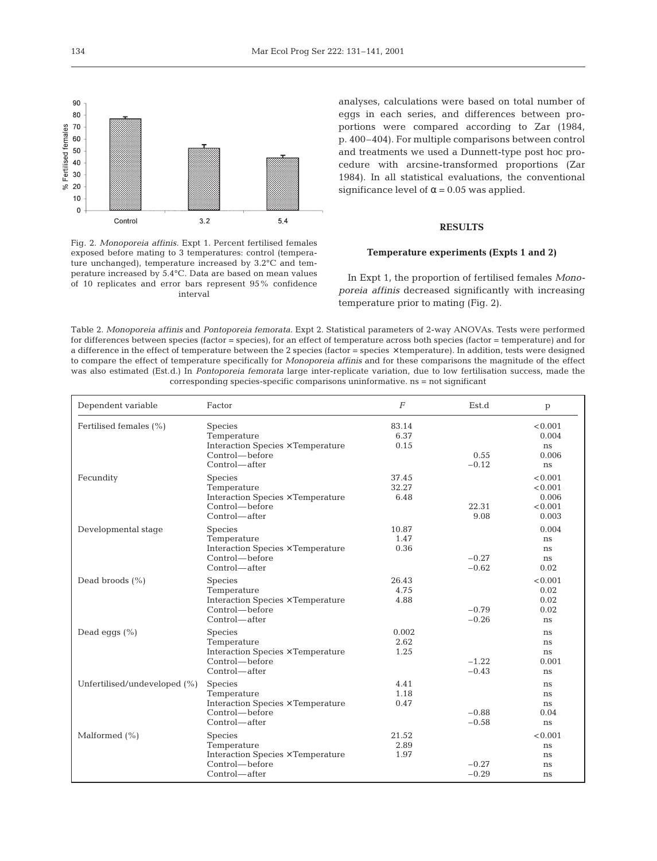

Fig. 2. *Monoporeia affinis.* Expt 1. Percent fertilised females exposed before mating to 3 temperatures: control (temperature unchanged), temperature increased by 3.2°C and temperature increased by 5.4°C. Data are based on mean values of 10 replicates and error bars represent 95% confidence interval

analyses, calculations were based on total number of eggs in each series, and differences between proportions were compared according to Zar (1984, p. 400–404). For multiple comparisons between control and treatments we used a Dunnett-type post hoc procedure with arcsine-transformed proportions (Zar 1984). In all statistical evaluations, the conventional significance level of  $\alpha$  = 0.05 was applied.

## **RESULTS**

## **Temperature experiments (Expts 1 and 2)**

In Expt 1, the proportion of fertilised females *Monoporeia affinis* decreased significantly with increasing temperature prior to mating (Fig. 2).

Table 2. *Monoporeia affinis* and *Pontoporeia femorata.* Expt 2. Statistical parameters of 2-way ANOVAs. Tests were performed for differences between species (factor = species), for an effect of temperature across both species (factor = temperature) and for a difference in the effect of temperature between the 2 species (factor = species × temperature). In addition, tests were designed to compare the effect of temperature specifically for *Monoporeia affinis* and for these comparisons the magnitude of the effect was also estimated (Est.d.) In *Pontoporeia femorata* large inter-replicate variation, due to low fertilisation success, made the corresponding species-specific comparisons uninformative. ns = not significant

| Dependent variable           | Factor                                                                                                | $\boldsymbol{F}$       | Est.d              | p                                               |
|------------------------------|-------------------------------------------------------------------------------------------------------|------------------------|--------------------|-------------------------------------------------|
| Fertilised females (%)       | Species<br>Temperature<br>Interaction Species × Temperature<br>Control—before<br>Control—after        | 83.14<br>6.37<br>0.15  | 0.55<br>$-0.12$    | < 0.001<br>0.004<br>ns<br>0.006<br>ns           |
| Fecundity                    | Species<br>Temperature<br>Interaction Species × Temperature<br>Control—before<br>Control—after        | 37.45<br>32.27<br>6.48 | 22.31<br>9.08      | < 0.001<br>< 0.001<br>0.006<br>< 0.001<br>0.003 |
| Developmental stage          | Species<br>Temperature<br>Interaction Species × Temperature<br>Control—before<br>Control—after        | 10.87<br>1.47<br>0.36  | $-0.27$<br>$-0.62$ | 0.004<br>ns<br>ns<br>ns<br>0.02                 |
| Dead broods $(\% )$          | Species<br>Temperature<br>Interaction Species × Temperature<br>Control—before<br>Control—after        | 26.43<br>4.75<br>4.88  | $-0.79$<br>$-0.26$ | < 0.001<br>0.02<br>0.02<br>0.02<br>ns           |
| Dead eggs $(\% )$            | <b>Species</b><br>Temperature<br>Interaction Species × Temperature<br>Control—before<br>Control—after | 0.002<br>2.62<br>1.25  | $-1.22$<br>$-0.43$ | ns<br>ns<br>ns<br>0.001<br>ns                   |
| Unfertilised/undeveloped (%) | Species<br>Temperature<br>Interaction Species × Temperature<br>Control—before<br>Control—after        | 4.41<br>1.18<br>0.47   | $-0.88$<br>$-0.58$ | ns<br>ns<br>ns<br>0.04<br>ns                    |
| Malformed $(\% )$            | Species<br>Temperature<br>Interaction Species × Temperature<br>Control—before<br>Control—after        | 21.52<br>2.89<br>1.97  | $-0.27$<br>$-0.29$ | < 0.001<br>ns<br>ns<br>ns<br>ns                 |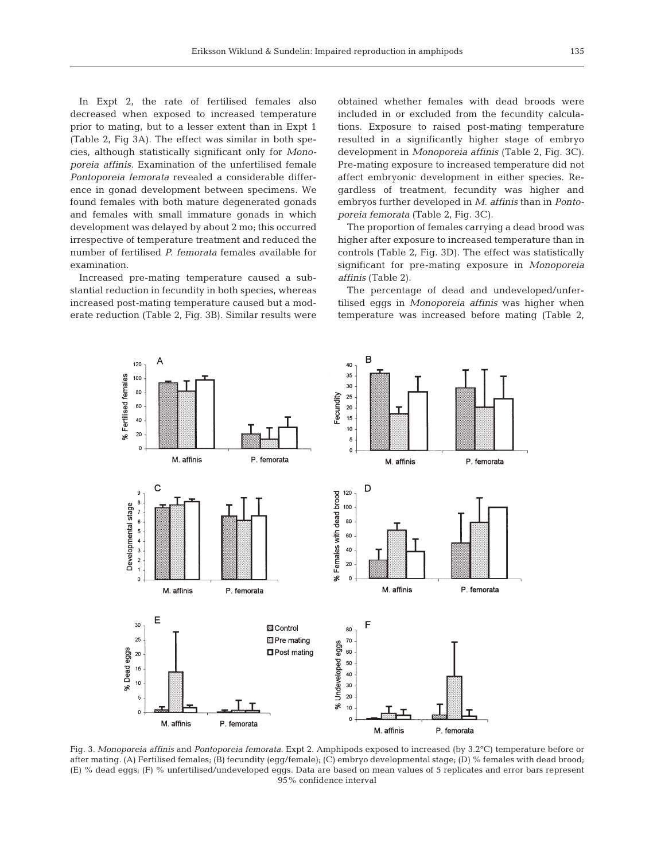In Expt 2, the rate of fertilised females also decreased when exposed to increased temperature prior to mating, but to a lesser extent than in Expt 1 (Table 2, Fig 3A). The effect was similar in both species, although statistically significant only for *Monoporeia affinis*. Examination of the unfertilised female *Pontoporeia femorata* revealed a considerable difference in gonad development between specimens. We found females with both mature degenerated gonads and females with small immature gonads in which development was delayed by about 2 mo; this occurred irrespective of temperature treatment and reduced the number of fertilised *P. femorata* females available for examination.

Increased pre-mating temperature caused a substantial reduction in fecundity in both species, whereas increased post-mating temperature caused but a moderate reduction (Table 2, Fig. 3B). Similar results were

obtained whether females with dead broods were included in or excluded from the fecundity calculations. Exposure to raised post-mating temperature resulted in a significantly higher stage of embryo development in *Monoporeia affinis* (Table 2, Fig. 3C). Pre-mating exposure to increased temperature did not affect embryonic development in either species. Regardless of treatment, fecundity was higher and embryos further developed in *M. affinis* than in *Pontoporeia femorata* (Table 2, Fig. 3C).

The proportion of females carrying a dead brood was higher after exposure to increased temperature than in controls (Table 2, Fig. 3D). The effect was statistically significant for pre-mating exposure in *Monoporeia affinis* (Table 2).

The percentage of dead and undeveloped/unfertilised eggs in *Monoporeia affinis* was higher when temperature was increased before mating (Table 2,



Fig. 3. *Monoporeia affinis* and *Pontoporeia femorata.* Expt 2. Amphipods exposed to increased (by 3.2°C) temperature before or after mating. (A) Fertilised females; (B) fecundity (egg/female); (C) embryo developmental stage; (D) % females with dead brood; (E) % dead eggs; (F) % unfertilised/undeveloped eggs. Data are based on mean values of 5 replicates and error bars represent 95% confidence interval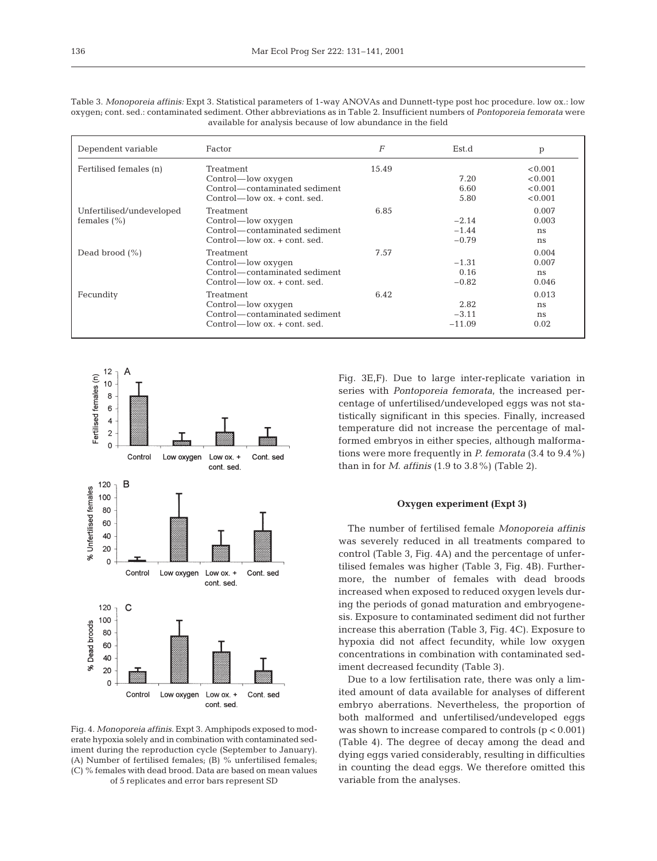| Table 3. <i>Monoporeia affinis:</i> Expt 3. Statistical parameters of 1-way ANOVAs and Dunnett-type post hoc procedure. low ox.: low |
|--------------------------------------------------------------------------------------------------------------------------------------|
| oxygen; cont. sed.: contaminated sediment. Other abbreviations as in Table 2. Insufficient numbers of Pontoporeia femorata were      |
| available for analysis because of low abundance in the field                                                                         |
|                                                                                                                                      |

| Dependent variable                          | Factor                                                                                                   | F     | Est.d                         | p                                        |
|---------------------------------------------|----------------------------------------------------------------------------------------------------------|-------|-------------------------------|------------------------------------------|
| Fertilised females (n)                      | Treatment<br>Control—low oxygen<br>Control—contaminated sediment<br>$Control$ low $ox$ , $+ cont$ , sed. | 15.49 | 7.20<br>6.60<br>5.80          | < 0.001<br>< 0.001<br>< 0.001<br>< 0.001 |
| Unfertilised/undeveloped<br>females $(\% )$ | Treatment<br>Control—low oxygen<br>Control—contaminated sediment<br>$Control$ — $low$ $ox. + cont.$ sed. | 6.85  | $-2.14$<br>$-1.44$<br>$-0.79$ | 0.007<br>0.003<br>ns<br>ns               |
| Dead brood $(\% )$                          | Treatment<br>Control—low oxygen<br>Control—contaminated sediment<br>$Control$ low $ox$ , $+ cont$ , sed. | 7.57  | $-1.31$<br>0.16<br>$-0.82$    | 0.004<br>0.007<br>ns<br>0.046            |
| Fecundity                                   | Treatment<br>Control—low oxygen<br>Control—contaminated sediment<br>$Control$ low $ox$ , $+ cont$ , sed. | 6.42  | 2.82<br>$-3.11$<br>$-11.09$   | 0.013<br>ns<br>ns<br>0.02                |



Fig. 4. *Monoporeia affinis.* Expt 3. Amphipods exposed to moderate hypoxia solely and in combination with contaminated sediment during the reproduction cycle (September to January). (A) Number of fertilised females; (B) % unfertilised females; (C) % females with dead brood. Data are based on mean values of 5 replicates and error bars represent SD

Fig. 3E,F). Due to large inter-replicate variation in series with *Pontoporeia femorata,* the increased percentage of unfertilised/undeveloped eggs was not statistically significant in this species. Finally, increased temperature did not increase the percentage of malformed embryos in either species, although malformations were more frequently in *P. femorata* (3.4 to 9.4%) than in for *M. affinis* (1.9 to 3.8%) (Table 2).

## **Oxygen experiment (Expt 3)**

The number of fertilised female *Monoporeia affinis* was severely reduced in all treatments compared to control (Table 3, Fig. 4A) and the percentage of unfertilised females was higher (Table 3, Fig. 4B). Furthermore, the number of females with dead broods increased when exposed to reduced oxygen levels during the periods of gonad maturation and embryogenesis. Exposure to contaminated sediment did not further increase this aberration (Table 3, Fig. 4C). Exposure to hypoxia did not affect fecundity, while low oxygen concentrations in combination with contaminated sediment decreased fecundity (Table 3).

Due to a low fertilisation rate, there was only a limited amount of data available for analyses of different embryo aberrations. Nevertheless, the proportion of both malformed and unfertilised/undeveloped eggs was shown to increase compared to controls (p < 0.001) (Table 4). The degree of decay among the dead and dying eggs varied considerably, resulting in difficulties in counting the dead eggs. We therefore omitted this variable from the analyses.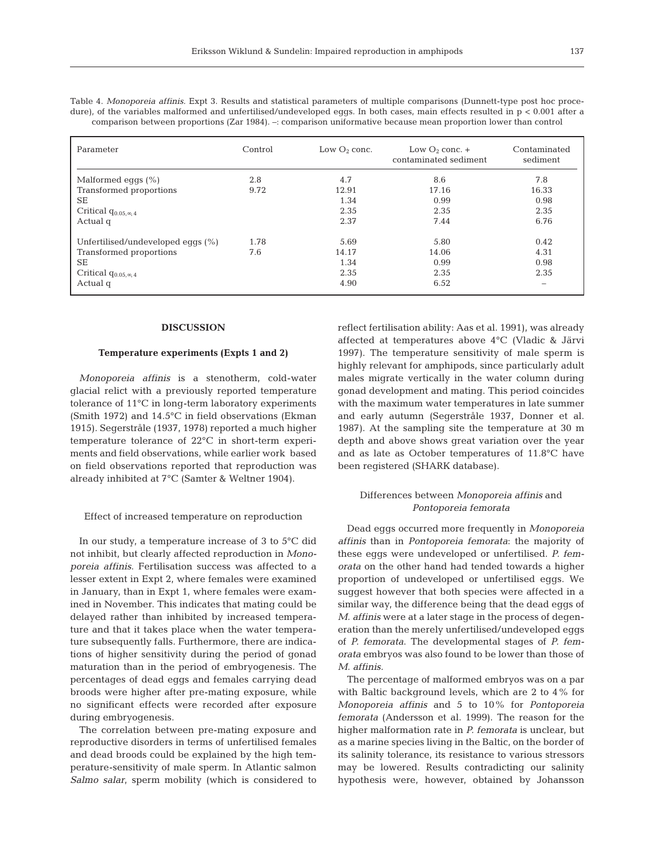| ۹           |  |
|-------------|--|
| I<br>$\sim$ |  |
|             |  |

Table 4. *Monoporeia affinis.* Expt 3. Results and statistical parameters of multiple comparisons (Dunnett-type post hoc procedure), of the variables malformed and unfertilised/undeveloped eggs. In both cases, main effects resulted in  $p < 0.001$  after a comparison between proportions (Zar 1984). –: comparison uniformative because mean proportion lower than control

| Parameter                         | Control | Low $O_2$ conc. | Low $O_2$ conc. $+$<br>contaminated sediment | Contaminated<br>sediment |
|-----------------------------------|---------|-----------------|----------------------------------------------|--------------------------|
| Malformed eggs $(\%)$             | 2.8     | 4.7             | 8.6                                          | 7.8                      |
| Transformed proportions           | 9.72    | 12.91           | 17.16                                        | 16.33                    |
| <b>SE</b>                         |         | 1.34            | 0.99                                         | 0.98                     |
| Critical $q_{0.05,\infty,4}$      |         | 2.35            | 2.35                                         | 2.35                     |
| Actual q                          |         | 2.37            | 7.44                                         | 6.76                     |
| Unfertilised/undeveloped eggs (%) | 1.78    | 5.69            | 5.80                                         | 0.42                     |
| Transformed proportions           | 7.6     | 14.17           | 14.06                                        | 4.31                     |
| <b>SE</b>                         |         | 1.34            | 0.99                                         | 0.98                     |
| Critical $q_{0.05,\infty,4}$      |         | 2.35            | 2.35                                         | 2.35                     |
| Actual q                          |         | 4.90            | 6.52                                         | $\overline{\phantom{a}}$ |

## **DISCUSSION**

## **Temperature experiments (Expts 1 and 2)**

*Monoporeia affinis* is a stenotherm, cold-water glacial relict with a previously reported temperature tolerance of 11°C in long-term laboratory experiments (Smith 1972) and 14.5°C in field observations (Ekman 1915). Segerstråle (1937, 1978) reported a much higher temperature tolerance of 22°C in short-term experiments and field observations, while earlier work based on field observations reported that reproduction was already inhibited at 7°C (Samter & Weltner 1904).

### Effect of increased temperature on reproduction

In our study, a temperature increase of 3 to 5°C did not inhibit, but clearly affected reproduction in *Monoporeia affinis*. Fertilisation success was affected to a lesser extent in Expt 2, where females were examined in January, than in Expt 1, where females were examined in November. This indicates that mating could be delayed rather than inhibited by increased temperature and that it takes place when the water temperature subsequently falls. Furthermore, there are indications of higher sensitivity during the period of gonad maturation than in the period of embryogenesis. The percentages of dead eggs and females carrying dead broods were higher after pre-mating exposure, while no significant effects were recorded after exposure during embryogenesis.

The correlation between pre-mating exposure and reproductive disorders in terms of unfertilised females and dead broods could be explained by the high temperature-sensitivity of male sperm. In Atlantic salmon *Salmo salar*, sperm mobility (which is considered to reflect fertilisation ability: Aas et al. 1991), was already affected at temperatures above 4°C (Vladic & Järvi 1997). The temperature sensitivity of male sperm is highly relevant for amphipods, since particularly adult males migrate vertically in the water column during gonad development and mating. This period coincides with the maximum water temperatures in late summer and early autumn (Segerstråle 1937, Donner et al. 1987). At the sampling site the temperature at 30 m depth and above shows great variation over the year and as late as October temperatures of 11.8°C have been registered (SHARK database).

## Differences between *Monoporeia affinis* and *Pontoporeia femorata*

Dead eggs occurred more frequently in *Monoporeia affinis* than in *Pontoporeia femorata*: the majority of these eggs were undeveloped or unfertilised. *P. femorata* on the other hand had tended towards a higher proportion of undeveloped or unfertilised eggs. We suggest however that both species were affected in a similar way, the difference being that the dead eggs of *M. affinis* were at a later stage in the process of degeneration than the merely unfertilised/undeveloped eggs of *P. femorata*. The developmental stages of *P. femorata* embryos was also found to be lower than those of *M. affinis.*

The percentage of malformed embryos was on a par with Baltic background levels, which are 2 to 4% for *Monoporeia affinis* and 5 to 10% for *Pontoporeia femorata* (Andersson et al. 1999). The reason for the higher malformation rate in *P. femorata* is unclear, but as a marine species living in the Baltic, on the border of its salinity tolerance, its resistance to various stressors may be lowered. Results contradicting our salinity hypothesis were, however, obtained by Johansson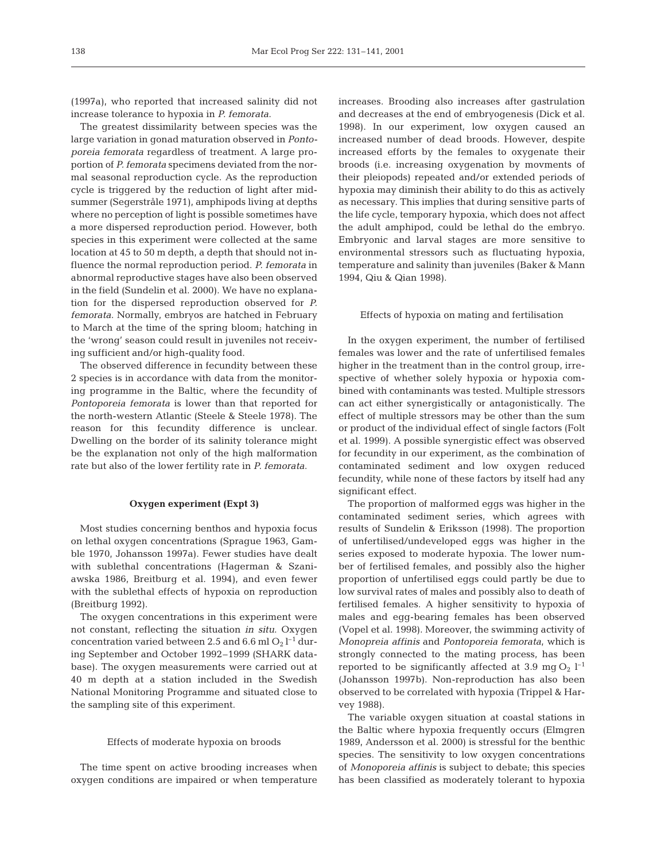(1997a), who reported that increased salinity did not increase tolerance to hypoxia in *P. femorata*.

The greatest dissimilarity between species was the large variation in gonad maturation observed in *Pontoporeia femorata* regardless of treatment*.* A large proportion of *P. femorata* specimens deviated from the normal seasonal reproduction cycle. As the reproduction cycle is triggered by the reduction of light after midsummer (Segerstråle 1971), amphipods living at depths where no perception of light is possible sometimes have a more dispersed reproduction period. However, both species in this experiment were collected at the same location at 45 to 50 m depth, a depth that should not influence the normal reproduction period. *P. femorata* in abnormal reproductive stages have also been observed in the field (Sundelin et al. 2000). We have no explanation for the dispersed reproduction observed for *P. femorata*. Normally, embryos are hatched in February to March at the time of the spring bloom; hatching in the 'wrong' season could result in juveniles not receiving sufficient and/or high-quality food.

The observed difference in fecundity between these 2 species is in accordance with data from the monitoring programme in the Baltic, where the fecundity of *Pontoporeia femorata* is lower than that reported for the north-western Atlantic (Steele & Steele 1978). The reason for this fecundity difference is unclear. Dwelling on the border of its salinity tolerance might be the explanation not only of the high malformation rate but also of the lower fertility rate in *P. femorata*.

## **Oxygen experiment (Expt 3)**

Most studies concerning benthos and hypoxia focus on lethal oxygen concentrations (Sprague 1963, Gamble 1970, Johansson 1997a). Fewer studies have dealt with sublethal concentrations (Hagerman & Szaniawska 1986, Breitburg et al. 1994), and even fewer with the sublethal effects of hypoxia on reproduction (Breitburg 1992).

The oxygen concentrations in this experiment were not constant, reflecting the situation *in situ*. Oxygen concentration varied between 2.5 and 6.6 ml  $O_2$  l<sup>-1</sup> during September and October 1992–1999 (SHARK database). The oxygen measurements were carried out at 40 m depth at a station included in the Swedish National Monitoring Programme and situated close to the sampling site of this experiment.

### Effects of moderate hypoxia on broods

The time spent on active brooding increases when oxygen conditions are impaired or when temperature

increases. Brooding also increases after gastrulation and decreases at the end of embryogenesis (Dick et al. 1998). In our experiment, low oxygen caused an increased number of dead broods. However, despite increased efforts by the females to oxygenate their broods (i.e. increasing oxygenation by movments of their pleiopods) repeated and/or extended periods of hypoxia may diminish their ability to do this as actively as necessary. This implies that during sensitive parts of the life cycle, temporary hypoxia, which does not affect the adult amphipod, could be lethal do the embryo. Embryonic and larval stages are more sensitive to environmental stressors such as fluctuating hypoxia, temperature and salinity than juveniles (Baker & Mann 1994, Qiu & Qian 1998).

### Effects of hypoxia on mating and fertilisation

In the oxygen experiment, the number of fertilised females was lower and the rate of unfertilised females higher in the treatment than in the control group, irrespective of whether solely hypoxia or hypoxia combined with contaminants was tested. Multiple stressors can act either synergistically or antagonistically. The effect of multiple stressors may be other than the sum or product of the individual effect of single factors (Folt et al. 1999). A possible synergistic effect was observed for fecundity in our experiment, as the combination of contaminated sediment and low oxygen reduced fecundity, while none of these factors by itself had any significant effect.

The proportion of malformed eggs was higher in the contaminated sediment series, which agrees with results of Sundelin & Eriksson (1998). The proportion of unfertilised/undeveloped eggs was higher in the series exposed to moderate hypoxia. The lower number of fertilised females, and possibly also the higher proportion of unfertilised eggs could partly be due to low survival rates of males and possibly also to death of fertilised females. A higher sensitivity to hypoxia of males and egg-bearing females has been observed (Vopel et al. 1998). Moreover, the swimming activity of *Monopreia affinis* and *Pontoporeia femorata*, which is strongly connected to the mating process, has been reported to be significantly affected at 3.9 mg  $O_2$   $l^{-1}$ (Johansson 1997b). Non-reproduction has also been observed to be correlated with hypoxia (Trippel & Harvey 1988).

The variable oxygen situation at coastal stations in the Baltic where hypoxia frequently occurs (Elmgren 1989, Andersson et al. 2000) is stressful for the benthic species. The sensitivity to low oxygen concentrations of *Monoporeia affinis* is subject to debate; this species has been classified as moderately tolerant to hypoxia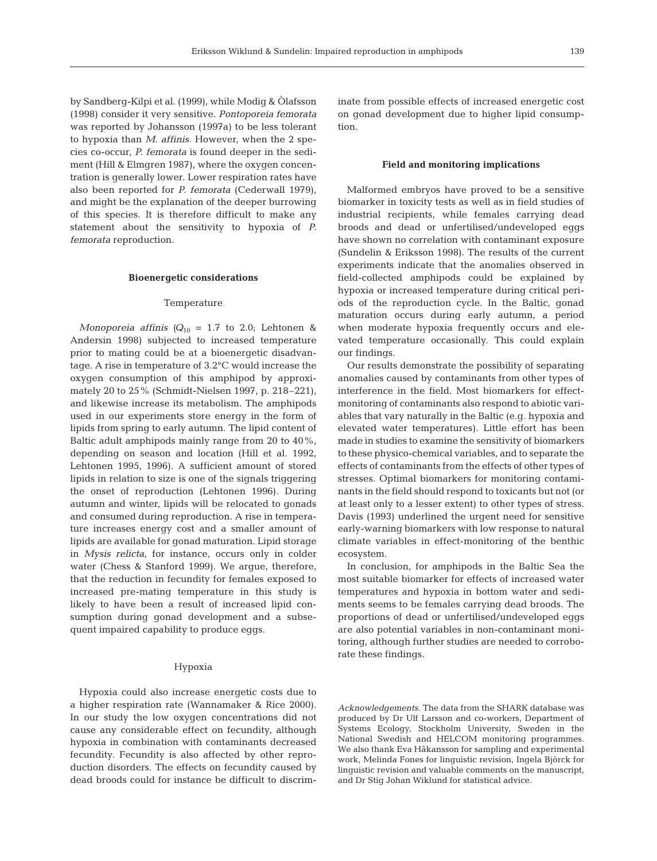by Sandberg-Kilpi et al. (1999), while Modig & Òlafsson (1998) consider it very sensitive. *Pontoporeia femorata* was reported by Johansson (1997a) to be less tolerant to hypoxia than *M. affinis*. However, when the 2 species co-occur, *P. femorata* is found deeper in the sediment (Hill & Elmgren 1987), where the oxygen concentration is generally lower. Lower respiration rates have also been reported for *P. femorata* (Cederwall 1979), and might be the explanation of the deeper burrowing of this species. It is therefore difficult to make any statement about the sensitivity to hypoxia of *P. femorata* reproduction.

#### **Bioenergetic considerations**

### Temperature

*Monoporeia affinis* ( $Q_{10} = 1.7$  to 2.0; Lehtonen & Andersin 1998) subjected to increased temperature prior to mating could be at a bioenergetic disadvantage. A rise in temperature of 3.2°C would increase the oxygen consumption of this amphipod by approximately 20 to 25% (Schmidt-Nielsen 1997, p. 218–221), and likewise increase its metabolism. The amphipods used in our experiments store energy in the form of lipids from spring to early autumn. The lipid content of Baltic adult amphipods mainly range from 20 to 40%, depending on season and location (Hill et al. 1992, Lehtonen 1995, 1996). A sufficient amount of stored lipids in relation to size is one of the signals triggering the onset of reproduction (Lehtonen 1996). During autumn and winter, lipids will be relocated to gonads and consumed during reproduction. A rise in temperature increases energy cost and a smaller amount of lipids are available for gonad maturation. Lipid storage in *Mysis relicta*, for instance, occurs only in colder water (Chess & Stanford 1999). We argue, therefore, that the reduction in fecundity for females exposed to increased pre-mating temperature in this study is likely to have been a result of increased lipid consumption during gonad development and a subsequent impaired capability to produce eggs.

## Hypoxia

Hypoxia could also increase energetic costs due to a higher respiration rate (Wannamaker & Rice 2000). In our study the low oxygen concentrations did not cause any considerable effect on fecundity, although hypoxia in combination with contaminants decreased fecundity. Fecundity is also affected by other reproduction disorders. The effects on fecundity caused by dead broods could for instance be difficult to discriminate from possible effects of increased energetic cost on gonad development due to higher lipid consumption.

## **Field and monitoring implications**

Malformed embryos have proved to be a sensitive biomarker in toxicity tests as well as in field studies of industrial recipients, while females carrying dead broods and dead or unfertilised/undeveloped eggs have shown no correlation with contaminant exposure (Sundelin & Eriksson 1998). The results of the current experiments indicate that the anomalies observed in field-collected amphipods could be explained by hypoxia or increased temperature during critical periods of the reproduction cycle. In the Baltic, gonad maturation occurs during early autumn, a period when moderate hypoxia frequently occurs and elevated temperature occasionally. This could explain our findings.

Our results demonstrate the possibility of separating anomalies caused by contaminants from other types of interference in the field. Most biomarkers for effectmonitoring of contaminants also respond to abiotic variables that vary naturally in the Baltic (e.g. hypoxia and elevated water temperatures). Little effort has been made in studies to examine the sensitivity of biomarkers to these physico-chemical variables, and to separate the effects of contaminants from the effects of other types of stresses. Optimal biomarkers for monitoring contaminants in the field should respond to toxicants but not (or at least only to a lesser extent) to other types of stress. Davis (1993) underlined the urgent need for sensitive early-warning biomarkers with low response to natural climate variables in effect-monitoring of the benthic ecosystem.

In conclusion, for amphipods in the Baltic Sea the most suitable biomarker for effects of increased water temperatures and hypoxia in bottom water and sediments seems to be females carrying dead broods. The proportions of dead or unfertilised/undeveloped eggs are also potential variables in non-contaminant monitoring, although further studies are needed to corroborate these findings.

*Acknowledgements.* The data from the SHARK database was produced by Dr Ulf Larsson and co-workers, Department of Systems Ecology, Stockholm University, Sweden in the National Swedish and HELCOM monitoring programmes. We also thank Eva Håkansson for sampling and experimental work, Melinda Fones for linguistic revision, Ingela Björck for linguistic revision and valuable comments on the manuscript, and Dr Stig Johan Wiklund for statistical advice.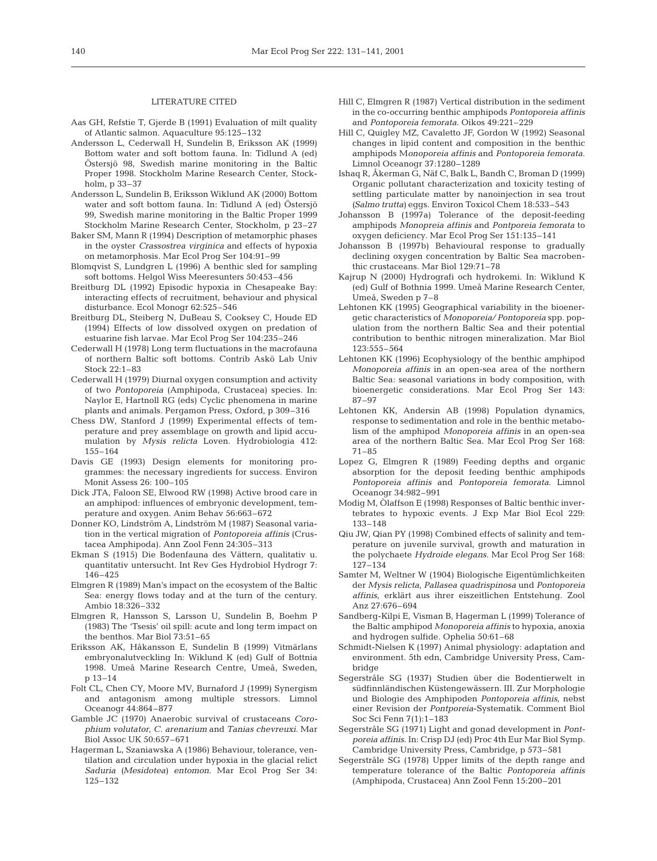## LITERATURE CITED

- Aas GH, Refstie T, Gjerde B (1991) Evaluation of milt quality of Atlantic salmon. Aquaculture 95:125–132
- Andersson L, Cederwall H, Sundelin B, Eriksson AK (1999) Bottom water and soft bottom fauna. In: Tidlund A (ed) Östersjö 98, Swedish marine monitoring in the Baltic Proper 1998. Stockholm Marine Research Center, Stockholm, p 33–37
- Andersson L, Sundelin B, Eriksson Wiklund AK (2000) Bottom water and soft bottom fauna. In: Tidlund A (ed) Östersjö 99, Swedish marine monitoring in the Baltic Proper 1999 Stockholm Marine Research Center, Stockholm, p 23–27
- Baker SM, Mann R (1994) Description of metamorphic phases in the oyster *Crassostrea virginica* and effects of hypoxia on metamorphosis. Mar Ecol Prog Ser 104:91–99
- Blomqvist S, Lundgren L (1996) A benthic sled for sampling soft bottoms. Helgol Wiss Meeresunters 50:453–456
- Breitburg DL (1992) Episodic hypoxia in Chesapeake Bay: interacting effects of recruitment, behaviour and physical disturbance. Ecol Monogr 62:525–546
- Breitburg DL, Steiberg N, DuBeau S, Cooksey C, Houde ED (1994) Effects of low dissolved oxygen on predation of estuarine fish larvae. Mar Ecol Prog Ser 104:235–246
- Cederwall H (1978) Long term fluctuations in the macrofauna of northern Baltic soft bottoms. Contrib Askö Lab Univ Stock 22:1–83
- Cederwall H (1979) Diurnal oxygen consumption and activity of two *Pontoporeia* (Amphipoda, Crustacea) species. In: Naylor E, Hartnoll RG (eds) Cyclic phenomena in marine plants and animals. Pergamon Press, Oxford, p 309–316
- Chess DW, Stanford J (1999) Experimental effects of temperature and prey assemblage on growth and lipid accumulation by *Mysis relicta* Loven. Hydrobiologia 412: 155–164
- Davis GE (1993) Design elements for monitoring programmes: the necessary ingredients for success. Environ Monit Assess 26: 100–105
- Dick JTA, Faloon SE, Elwood RW (1998) Active brood care in an amphipod: influences of embryonic development, temperature and oxygen. Anim Behav 56:663–672
- Donner KO, Lindström A, Lindström M (1987) Seasonal variation in the vertical migration of *Pontoporeia affinis* (Crustacea Amphipoda). Ann Zool Fenn 24:305–313
- Ekman S (1915) Die Bodenfauna des Vättern, qualitativ u. quantitativ untersucht. Int Rev Ges Hydrobiol Hydrogr 7: 146–425
- Elmgren R (1989) Man's impact on the ecosystem of the Baltic Sea: energy flows today and at the turn of the century. Ambio 18:326–332
- Elmgren R, Hansson S, Larsson U, Sundelin B, Boehm P (1983) The 'Tsesis' oil spill: acute and long term impact on the benthos. Mar Biol 73:51–65
- Eriksson AK, Håkansson E, Sundelin B (1999) Vitmärlans embryonalutveckling In: Wiklund K (ed) Gulf of Bottnia 1998. Umeå Marine Research Centre, Umeå, Sweden, p 13–14
- Folt CL, Chen CY, Moore MV, Burnaford J (1999) Synergism and antagonism among multiple stressors. Limnol Oceanogr 44:864–877
- Gamble JC (1970) Anaerobic survival of crustaceans *Corophium volutator*, *C. arenarium* and *Tanias chevreuxi*. Mar Biol Assoc UK 50:657–671
- Hagerman L, Szaniawska A (1986) Behaviour, tolerance, ventilation and circulation under hypoxia in the glacial relict *Saduria (Mesidotea) entomon*. Mar Ecol Prog Ser 34: 125–132
- Hill C, Elmgren R (1987) Vertical distribution in the sediment in the co-occurring benthic amphipods *Pontoporeia affinis* and *Pontoporeia femorata*. Oikos 49:221–229
- Hill C, Quigley MZ, Cavaletto JF, Gordon W (1992) Seasonal changes in lipid content and composition in the benthic amphipods M*onoporeia affinis* and *Pontoporeia femorata.* Limnol Oceanogr 37:1280–1289
- Ishaq R, Åkerman G, Näf C, Balk L, Bandh C, Broman D (1999) Organic pollutant characterization and toxicity testing of settling particulate matter by nanoinjection in sea trout *(Salmo trutta)* eggs. Environ Toxicol Chem 18:533–543
- Johansson B (1997a) Tolerance of the deposit-feeding amphipods *Monopreia affinis* and *Pontporeia femorata* to oxygen deficiency. Mar Ecol Prog Ser 151:135–141
- Johansson B (1997b) Behavioural response to gradually declining oxygen concentration by Baltic Sea macrobenthic crustaceans. Mar Biol 129:71–78
- Kajrup N (2000) Hydrografi och hydrokemi. In: Wiklund K (ed) Gulf of Bothnia 1999. Umeå Marine Research Center, Umeå, Sweden p 7–8
- Lehtonen KK (1995) Geographical variability in the bioenergetic characteristics of *Monoporeia/ Pontoporeia* spp. population from the northern Baltic Sea and their potential contribution to benthic nitrogen mineralization. Mar Biol 123:555–564
- Lehtonen KK (1996) Ecophysiology of the benthic amphipod *Monoporeia affinis* in an open-sea area of the northern Baltic Sea: seasonal variations in body composition, with bioenergetic considerations. Mar Ecol Prog Ser 143: 87–97
- Lehtonen KK, Andersin AB (1998) Population dynamics, response to sedimentation and role in the benthic metabolism of the amphipod *Monoporeia affinis* in an open-sea area of the northern Baltic Sea. Mar Ecol Prog Ser 168: 71–85
- Lopez G, Elmgren R (1989) Feeding depths and organic absorption for the deposit feeding benthic amphipods *Pontoporeia affinis* and *Pontoporeia femorata*. Limnol Oceanogr 34:982–991
- Modig M, Òlaffson E (1998) Responses of Baltic benthic invertebrates to hypoxic events. J Exp Mar Biol Ecol 229: 133–148
- Qiu JW, Qian PY (1998) Combined effects of salinity and temperature on juvenile survival, growth and maturation in the polychaete *Hydroide elegans*. Mar Ecol Prog Ser 168: 127–134
- Samter M, Weltner W (1904) Biologische Eigentümlichkeiten der *Mysis relicta*, *Pallasea quadrispinosa* und *Pontoporeia affinis*, erklärt aus ihrer eiszeitlichen Entstehung. Zool Anz 27:676–694
- Sandberg-Kilpi E, Visman B, Hagerman L (1999) Tolerance of the Baltic amphipod *Monoporeia affinis* to hypoxia, anoxia and hydrogen sulfide. Ophelia 50:61–68
- Schmidt-Nielsen K (1997) Animal physiology: adaptation and environment. 5th edn, Cambridge University Press, Cambridge
- Segerstråle SG (1937) Studien über die Bodentierwelt in südfinnländischen Küstengewässern. III. Zur Morphologie und Biologie des Amphipoden *Pontoporeia affinis*, nebst einer Revision der *Pontporeia*-Systematik. Comment Biol Soc Sci Fenn 7(1):1–183
- Segerstråle SG (1971) Light and gonad development in *Pontporeia affinis*. In: Crisp DJ (ed) Proc 4th Eur Mar Biol Symp. Cambridge University Press, Cambridge, p 573–581
- Segerstråle SG (1978) Upper limits of the depth range and temperature tolerance of the Baltic *Pontoporeia affinis* (Amphipoda, Crustacea) Ann Zool Fenn 15:200–201